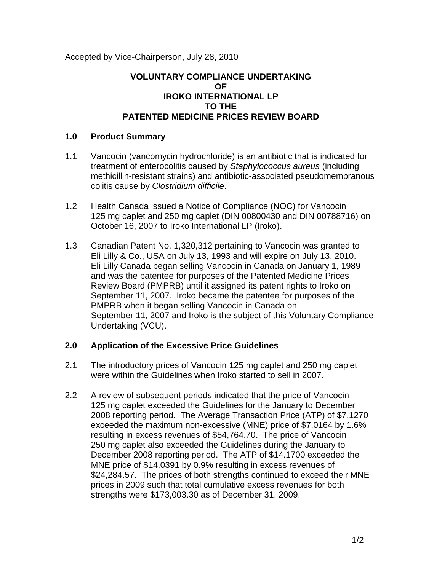Accepted by Vice-Chairperson, July 28, 2010

# **VOLUNTARY COMPLIANCE UNDERTAKING OF IROKO INTERNATIONAL LP TO THE PATENTED MEDICINE PRICES REVIEW BOARD**

## **1.0 Product Summary**

- 1.1 Vancocin (vancomycin hydrochloride) is an antibiotic that is indicated for treatment of enterocolitis caused by *Staphylococcus aureus* (including methicillin-resistant strains) and antibiotic-associated pseudomembranous colitis cause by *Clostridium difficile*.
- 1.2 Health Canada issued a Notice of Compliance (NOC) for Vancocin 125 mg caplet and 250 mg caplet (DIN 00800430 and DIN 00788716) on October 16, 2007 to Iroko International LP (Iroko).
- 1.3 Canadian Patent No. 1,320,312 pertaining to Vancocin was granted to Eli Lilly & Co., USA on July 13, 1993 and will expire on July 13, 2010. Eli Lilly Canada began selling Vancocin in Canada on January 1, 1989 and was the patentee for purposes of the Patented Medicine Prices Review Board (PMPRB) until it assigned its patent rights to Iroko on September 11, 2007. Iroko became the patentee for purposes of the PMPRB when it began selling Vancocin in Canada on September 11, 2007 and Iroko is the subject of this Voluntary Compliance Undertaking (VCU).

# **2.0 Application of the Excessive Price Guidelines**

- 2.1 The introductory prices of Vancocin 125 mg caplet and 250 mg caplet were within the Guidelines when Iroko started to sell in 2007.
- 2.2 A review of subsequent periods indicated that the price of Vancocin 125 mg caplet exceeded the Guidelines for the January to December 2008 reporting period. The Average Transaction Price (ATP) of \$7.1270 exceeded the maximum non-excessive (MNE) price of \$7.0164 by 1.6% resulting in excess revenues of \$54,764.70. The price of Vancocin 250 mg caplet also exceeded the Guidelines during the January to December 2008 reporting period. The ATP of \$14.1700 exceeded the MNE price of \$14.0391 by 0.9% resulting in excess revenues of \$24,284.57. The prices of both strengths continued to exceed their MNE prices in 2009 such that total cumulative excess revenues for both strengths were \$173,003.30 as of December 31, 2009.